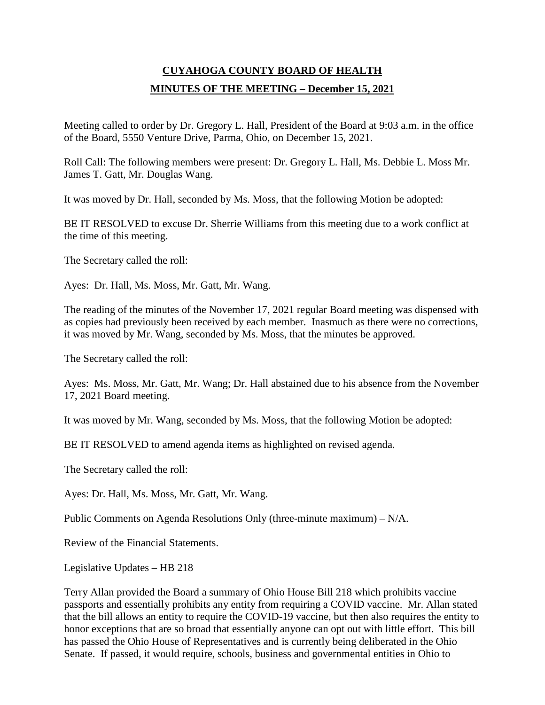## **CUYAHOGA COUNTY BOARD OF HEALTH MINUTES OF THE MEETING – December 15, 2021**

Meeting called to order by Dr. Gregory L. Hall, President of the Board at 9:03 a.m. in the office of the Board, 5550 Venture Drive, Parma, Ohio, on December 15, 2021.

Roll Call: The following members were present: Dr. Gregory L. Hall, Ms. Debbie L. Moss Mr. James T. Gatt, Mr. Douglas Wang.

It was moved by Dr. Hall, seconded by Ms. Moss, that the following Motion be adopted:

BE IT RESOLVED to excuse Dr. Sherrie Williams from this meeting due to a work conflict at the time of this meeting.

The Secretary called the roll:

Ayes: Dr. Hall, Ms. Moss, Mr. Gatt, Mr. Wang.

The reading of the minutes of the November 17, 2021 regular Board meeting was dispensed with as copies had previously been received by each member. Inasmuch as there were no corrections, it was moved by Mr. Wang, seconded by Ms. Moss, that the minutes be approved.

The Secretary called the roll:

Ayes: Ms. Moss, Mr. Gatt, Mr. Wang; Dr. Hall abstained due to his absence from the November 17, 2021 Board meeting.

It was moved by Mr. Wang, seconded by Ms. Moss, that the following Motion be adopted:

BE IT RESOLVED to amend agenda items as highlighted on revised agenda.

The Secretary called the roll:

Ayes: Dr. Hall, Ms. Moss, Mr. Gatt, Mr. Wang.

Public Comments on Agenda Resolutions Only (three-minute maximum) – N/A.

Review of the Financial Statements.

Legislative Updates – HB 218

Terry Allan provided the Board a summary of Ohio House Bill 218 which prohibits vaccine passports and essentially prohibits any entity from requiring a COVID vaccine. Mr. Allan stated that the bill allows an entity to require the COVID-19 vaccine, but then also requires the entity to honor exceptions that are so broad that essentially anyone can opt out with little effort. This bill has passed the Ohio House of Representatives and is currently being deliberated in the Ohio Senate. If passed, it would require, schools, business and governmental entities in Ohio to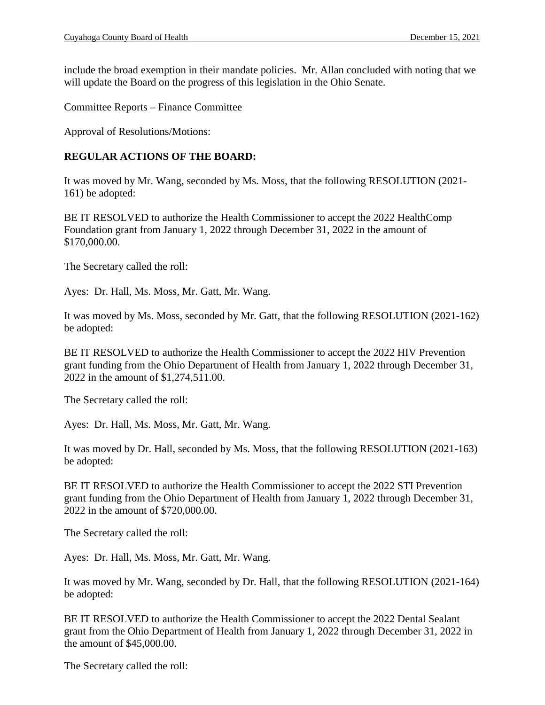include the broad exemption in their mandate policies. Mr. Allan concluded with noting that we will update the Board on the progress of this legislation in the Ohio Senate.

Committee Reports – Finance Committee

Approval of Resolutions/Motions:

## **REGULAR ACTIONS OF THE BOARD:**

It was moved by Mr. Wang, seconded by Ms. Moss, that the following RESOLUTION (2021- 161) be adopted:

BE IT RESOLVED to authorize the Health Commissioner to accept the 2022 HealthComp Foundation grant from January 1, 2022 through December 31, 2022 in the amount of \$170,000.00.

The Secretary called the roll:

Ayes: Dr. Hall, Ms. Moss, Mr. Gatt, Mr. Wang.

It was moved by Ms. Moss, seconded by Mr. Gatt, that the following RESOLUTION (2021-162) be adopted:

BE IT RESOLVED to authorize the Health Commissioner to accept the 2022 HIV Prevention grant funding from the Ohio Department of Health from January 1, 2022 through December 31, 2022 in the amount of \$1,274,511.00.

The Secretary called the roll:

Ayes: Dr. Hall, Ms. Moss, Mr. Gatt, Mr. Wang.

It was moved by Dr. Hall, seconded by Ms. Moss, that the following RESOLUTION (2021-163) be adopted:

BE IT RESOLVED to authorize the Health Commissioner to accept the 2022 STI Prevention grant funding from the Ohio Department of Health from January 1, 2022 through December 31, 2022 in the amount of \$720,000.00.

The Secretary called the roll:

Ayes: Dr. Hall, Ms. Moss, Mr. Gatt, Mr. Wang.

It was moved by Mr. Wang, seconded by Dr. Hall, that the following RESOLUTION (2021-164) be adopted:

BE IT RESOLVED to authorize the Health Commissioner to accept the 2022 Dental Sealant grant from the Ohio Department of Health from January 1, 2022 through December 31, 2022 in the amount of \$45,000.00.

The Secretary called the roll: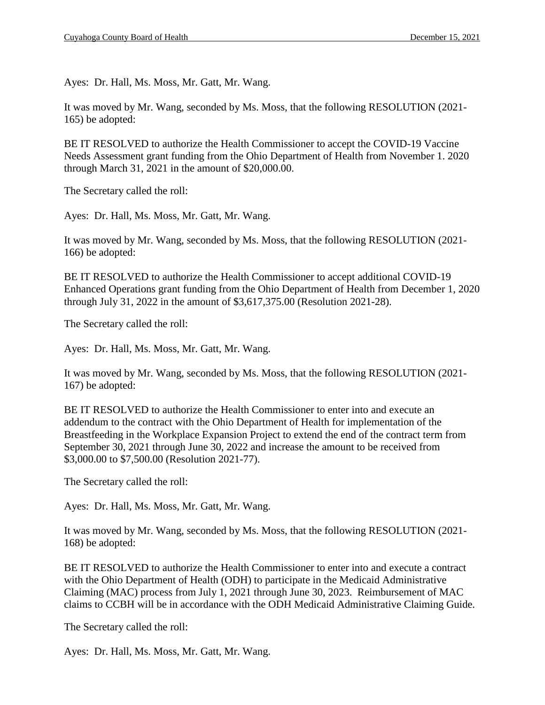Ayes: Dr. Hall, Ms. Moss, Mr. Gatt, Mr. Wang.

It was moved by Mr. Wang, seconded by Ms. Moss, that the following RESOLUTION (2021- 165) be adopted:

BE IT RESOLVED to authorize the Health Commissioner to accept the COVID-19 Vaccine Needs Assessment grant funding from the Ohio Department of Health from November 1. 2020 through March 31, 2021 in the amount of \$20,000.00.

The Secretary called the roll:

Ayes: Dr. Hall, Ms. Moss, Mr. Gatt, Mr. Wang.

It was moved by Mr. Wang, seconded by Ms. Moss, that the following RESOLUTION (2021- 166) be adopted:

BE IT RESOLVED to authorize the Health Commissioner to accept additional COVID-19 Enhanced Operations grant funding from the Ohio Department of Health from December 1, 2020 through July 31, 2022 in the amount of \$3,617,375.00 (Resolution 2021-28).

The Secretary called the roll:

Ayes: Dr. Hall, Ms. Moss, Mr. Gatt, Mr. Wang.

It was moved by Mr. Wang, seconded by Ms. Moss, that the following RESOLUTION (2021- 167) be adopted:

BE IT RESOLVED to authorize the Health Commissioner to enter into and execute an addendum to the contract with the Ohio Department of Health for implementation of the Breastfeeding in the Workplace Expansion Project to extend the end of the contract term from September 30, 2021 through June 30, 2022 and increase the amount to be received from \$3,000.00 to \$7,500.00 (Resolution 2021-77).

The Secretary called the roll:

Ayes: Dr. Hall, Ms. Moss, Mr. Gatt, Mr. Wang.

It was moved by Mr. Wang, seconded by Ms. Moss, that the following RESOLUTION (2021- 168) be adopted:

BE IT RESOLVED to authorize the Health Commissioner to enter into and execute a contract with the Ohio Department of Health (ODH) to participate in the Medicaid Administrative Claiming (MAC) process from July 1, 2021 through June 30, 2023. Reimbursement of MAC claims to CCBH will be in accordance with the ODH Medicaid Administrative Claiming Guide.

The Secretary called the roll:

Ayes: Dr. Hall, Ms. Moss, Mr. Gatt, Mr. Wang.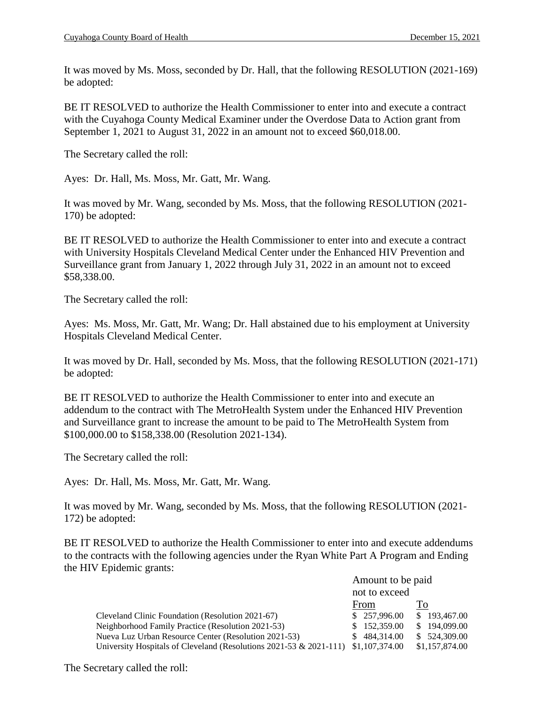It was moved by Ms. Moss, seconded by Dr. Hall, that the following RESOLUTION (2021-169) be adopted:

BE IT RESOLVED to authorize the Health Commissioner to enter into and execute a contract with the Cuyahoga County Medical Examiner under the Overdose Data to Action grant from September 1, 2021 to August 31, 2022 in an amount not to exceed \$60,018.00.

The Secretary called the roll:

Ayes: Dr. Hall, Ms. Moss, Mr. Gatt, Mr. Wang.

It was moved by Mr. Wang, seconded by Ms. Moss, that the following RESOLUTION (2021- 170) be adopted:

BE IT RESOLVED to authorize the Health Commissioner to enter into and execute a contract with University Hospitals Cleveland Medical Center under the Enhanced HIV Prevention and Surveillance grant from January 1, 2022 through July 31, 2022 in an amount not to exceed \$58,338.00.

The Secretary called the roll:

Ayes: Ms. Moss, Mr. Gatt, Mr. Wang; Dr. Hall abstained due to his employment at University Hospitals Cleveland Medical Center.

It was moved by Dr. Hall, seconded by Ms. Moss, that the following RESOLUTION (2021-171) be adopted:

BE IT RESOLVED to authorize the Health Commissioner to enter into and execute an addendum to the contract with The MetroHealth System under the Enhanced HIV Prevention and Surveillance grant to increase the amount to be paid to The MetroHealth System from \$100,000.00 to \$158,338.00 (Resolution 2021-134).

The Secretary called the roll:

Ayes: Dr. Hall, Ms. Moss, Mr. Gatt, Mr. Wang.

It was moved by Mr. Wang, seconded by Ms. Moss, that the following RESOLUTION (2021- 172) be adopted:

BE IT RESOLVED to authorize the Health Commissioner to enter into and execute addendums to the contracts with the following agencies under the Ryan White Part A Program and Ending the HIV Epidemic grants:

|                                                                       | Amount to be paid |                |
|-----------------------------------------------------------------------|-------------------|----------------|
|                                                                       | not to exceed     |                |
|                                                                       | From              | T <sub>o</sub> |
| Cleveland Clinic Foundation (Resolution 2021-67)                      | \$257,996.00      | \$193,467.00   |
| Neighborhood Family Practice (Resolution 2021-53)                     | \$152,359.00      | \$194,099.00   |
| Nueva Luz Urban Resource Center (Resolution 2021-53)                  | \$484,314.00      | \$524,309.00   |
| University Hospitals of Cleveland (Resolutions 2021-53 $\&$ 2021-111) | \$1,107,374.00    | \$1,157,874.00 |

The Secretary called the roll: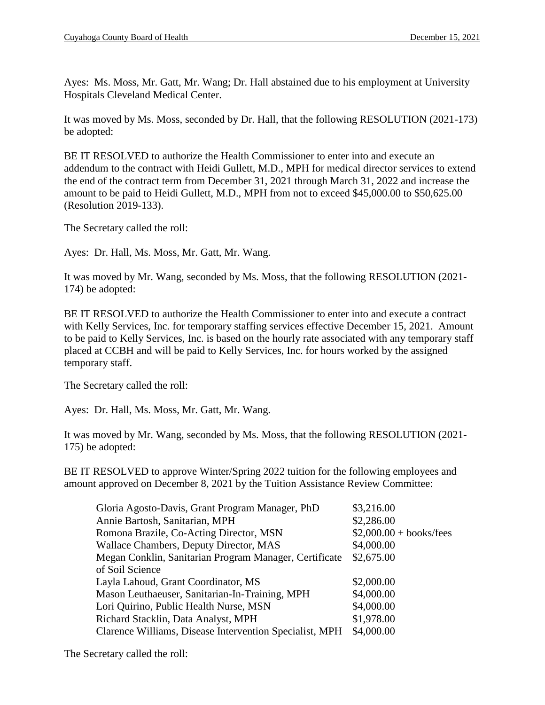Ayes: Ms. Moss, Mr. Gatt, Mr. Wang; Dr. Hall abstained due to his employment at University Hospitals Cleveland Medical Center.

It was moved by Ms. Moss, seconded by Dr. Hall, that the following RESOLUTION (2021-173) be adopted:

BE IT RESOLVED to authorize the Health Commissioner to enter into and execute an addendum to the contract with Heidi Gullett, M.D., MPH for medical director services to extend the end of the contract term from December 31, 2021 through March 31, 2022 and increase the amount to be paid to Heidi Gullett, M.D., MPH from not to exceed \$45,000.00 to \$50,625.00 (Resolution 2019-133).

The Secretary called the roll:

Ayes: Dr. Hall, Ms. Moss, Mr. Gatt, Mr. Wang.

It was moved by Mr. Wang, seconded by Ms. Moss, that the following RESOLUTION (2021- 174) be adopted:

BE IT RESOLVED to authorize the Health Commissioner to enter into and execute a contract with Kelly Services, Inc. for temporary staffing services effective December 15, 2021. Amount to be paid to Kelly Services, Inc. is based on the hourly rate associated with any temporary staff placed at CCBH and will be paid to Kelly Services, Inc. for hours worked by the assigned temporary staff.

The Secretary called the roll:

Ayes: Dr. Hall, Ms. Moss, Mr. Gatt, Mr. Wang.

It was moved by Mr. Wang, seconded by Ms. Moss, that the following RESOLUTION (2021- 175) be adopted:

BE IT RESOLVED to approve Winter/Spring 2022 tuition for the following employees and amount approved on December 8, 2021 by the Tuition Assistance Review Committee:

| \$3,216.00               |
|--------------------------|
| \$2,286.00               |
| $$2,000.00 + books/fees$ |
| \$4,000.00               |
| \$2,675.00               |
|                          |
| \$2,000.00               |
| \$4,000.00               |
| \$4,000.00               |
| \$1,978.00               |
| \$4,000.00               |
|                          |

The Secretary called the roll: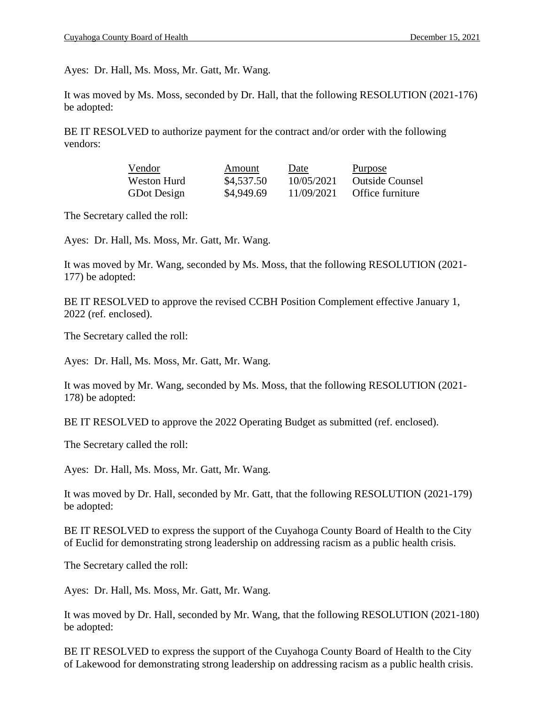Ayes: Dr. Hall, Ms. Moss, Mr. Gatt, Mr. Wang.

It was moved by Ms. Moss, seconded by Dr. Hall, that the following RESOLUTION (2021-176) be adopted:

BE IT RESOLVED to authorize payment for the contract and/or order with the following vendors:

| Vendor             | Amount     | Date       | Purpose                |
|--------------------|------------|------------|------------------------|
| Weston Hurd        | \$4,537.50 | 10/05/2021 | <b>Outside Counsel</b> |
| <b>GDot Design</b> | \$4,949.69 | 11/09/2021 | Office furniture       |

The Secretary called the roll:

Ayes: Dr. Hall, Ms. Moss, Mr. Gatt, Mr. Wang.

It was moved by Mr. Wang, seconded by Ms. Moss, that the following RESOLUTION (2021- 177) be adopted:

BE IT RESOLVED to approve the revised CCBH Position Complement effective January 1, 2022 (ref. enclosed).

The Secretary called the roll:

Ayes: Dr. Hall, Ms. Moss, Mr. Gatt, Mr. Wang.

It was moved by Mr. Wang, seconded by Ms. Moss, that the following RESOLUTION (2021- 178) be adopted:

BE IT RESOLVED to approve the 2022 Operating Budget as submitted (ref. enclosed).

The Secretary called the roll:

Ayes: Dr. Hall, Ms. Moss, Mr. Gatt, Mr. Wang.

It was moved by Dr. Hall, seconded by Mr. Gatt, that the following RESOLUTION (2021-179) be adopted:

BE IT RESOLVED to express the support of the Cuyahoga County Board of Health to the City of Euclid for demonstrating strong leadership on addressing racism as a public health crisis.

The Secretary called the roll:

Ayes: Dr. Hall, Ms. Moss, Mr. Gatt, Mr. Wang.

It was moved by Dr. Hall, seconded by Mr. Wang, that the following RESOLUTION (2021-180) be adopted:

BE IT RESOLVED to express the support of the Cuyahoga County Board of Health to the City of Lakewood for demonstrating strong leadership on addressing racism as a public health crisis.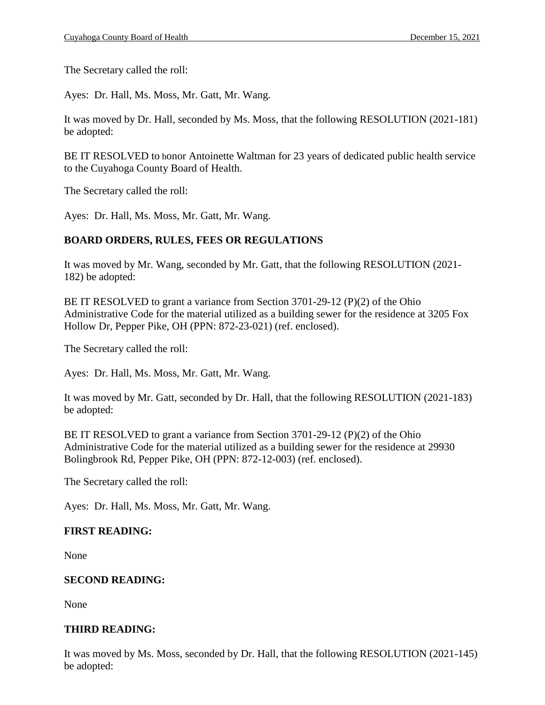The Secretary called the roll:

Ayes: Dr. Hall, Ms. Moss, Mr. Gatt, Mr. Wang.

It was moved by Dr. Hall, seconded by Ms. Moss, that the following RESOLUTION (2021-181) be adopted:

BE IT RESOLVED to honor Antoinette Waltman for 23 years of dedicated public health service to the Cuyahoga County Board of Health.

The Secretary called the roll:

Ayes: Dr. Hall, Ms. Moss, Mr. Gatt, Mr. Wang.

## **BOARD ORDERS, RULES, FEES OR REGULATIONS**

It was moved by Mr. Wang, seconded by Mr. Gatt, that the following RESOLUTION (2021- 182) be adopted:

BE IT RESOLVED to grant a variance from Section 3701-29-12 (P)(2) of the Ohio Administrative Code for the material utilized as a building sewer for the residence at 3205 Fox Hollow Dr, Pepper Pike, OH (PPN: 872-23-021) (ref. enclosed).

The Secretary called the roll:

Ayes: Dr. Hall, Ms. Moss, Mr. Gatt, Mr. Wang.

It was moved by Mr. Gatt, seconded by Dr. Hall, that the following RESOLUTION (2021-183) be adopted:

BE IT RESOLVED to grant a variance from Section  $3701-29-12$  (P)(2) of the Ohio Administrative Code for the material utilized as a building sewer for the residence at 29930 Bolingbrook Rd, Pepper Pike, OH (PPN: 872-12-003) (ref. enclosed).

The Secretary called the roll:

Ayes: Dr. Hall, Ms. Moss, Mr. Gatt, Mr. Wang.

## **FIRST READING:**

None

## **SECOND READING:**

None

## **THIRD READING:**

It was moved by Ms. Moss, seconded by Dr. Hall, that the following RESOLUTION (2021-145) be adopted: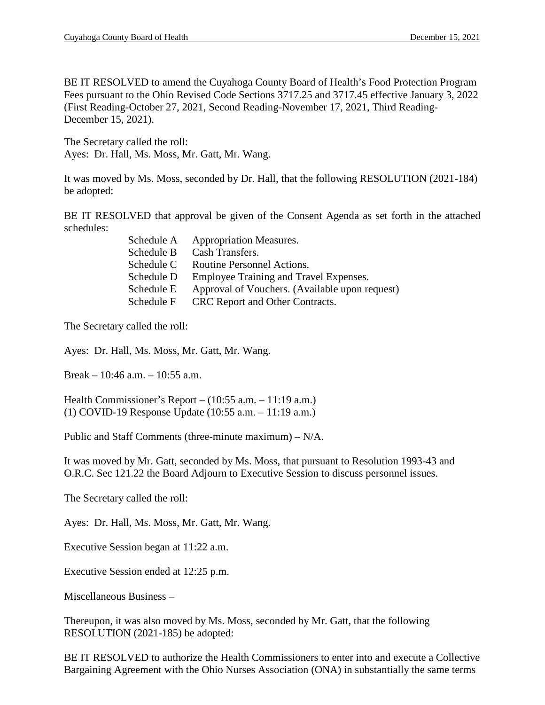BE IT RESOLVED to amend the Cuyahoga County Board of Health's Food Protection Program Fees pursuant to the Ohio Revised Code Sections 3717.25 and 3717.45 effective January 3, 2022 (First Reading-October 27, 2021, Second Reading-November 17, 2021, Third Reading-December 15, 2021).

The Secretary called the roll: Ayes: Dr. Hall, Ms. Moss, Mr. Gatt, Mr. Wang.

It was moved by Ms. Moss, seconded by Dr. Hall, that the following RESOLUTION (2021-184) be adopted:

BE IT RESOLVED that approval be given of the Consent Agenda as set forth in the attached schedules:

| Schedule A | <b>Appropriation Measures.</b>                 |
|------------|------------------------------------------------|
| Schedule B | Cash Transfers.                                |
| Schedule C | Routine Personnel Actions.                     |
| Schedule D | Employee Training and Travel Expenses.         |
| Schedule E | Approval of Vouchers. (Available upon request) |
| Schedule F | CRC Report and Other Contracts.                |

The Secretary called the roll:

Ayes: Dr. Hall, Ms. Moss, Mr. Gatt, Mr. Wang.

Break – 10:46 a.m. – 10:55 a.m.

Health Commissioner's Report – (10:55 a.m. – 11:19 a.m.) (1) COVID-19 Response Update (10:55 a.m. – 11:19 a.m.)

Public and Staff Comments (three-minute maximum) – N/A.

It was moved by Mr. Gatt, seconded by Ms. Moss, that pursuant to Resolution 1993-43 and O.R.C. Sec 121.22 the Board Adjourn to Executive Session to discuss personnel issues.

The Secretary called the roll:

Ayes: Dr. Hall, Ms. Moss, Mr. Gatt, Mr. Wang.

Executive Session began at 11:22 a.m.

Executive Session ended at 12:25 p.m.

Miscellaneous Business –

Thereupon, it was also moved by Ms. Moss, seconded by Mr. Gatt, that the following RESOLUTION (2021-185) be adopted:

BE IT RESOLVED to authorize the Health Commissioners to enter into and execute a Collective Bargaining Agreement with the Ohio Nurses Association (ONA) in substantially the same terms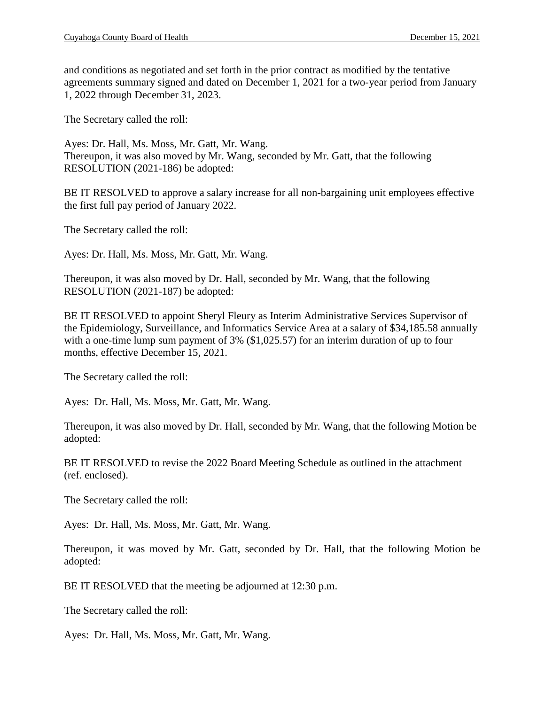and conditions as negotiated and set forth in the prior contract as modified by the tentative agreements summary signed and dated on December 1, 2021 for a two-year period from January 1, 2022 through December 31, 2023.

The Secretary called the roll:

Ayes: Dr. Hall, Ms. Moss, Mr. Gatt, Mr. Wang. Thereupon, it was also moved by Mr. Wang, seconded by Mr. Gatt, that the following RESOLUTION (2021-186) be adopted:

BE IT RESOLVED to approve a salary increase for all non-bargaining unit employees effective the first full pay period of January 2022.

The Secretary called the roll:

Ayes: Dr. Hall, Ms. Moss, Mr. Gatt, Mr. Wang.

Thereupon, it was also moved by Dr. Hall, seconded by Mr. Wang, that the following RESOLUTION (2021-187) be adopted:

BE IT RESOLVED to appoint Sheryl Fleury as Interim Administrative Services Supervisor of the Epidemiology, Surveillance, and Informatics Service Area at a salary of \$34,185.58 annually with a one-time lump sum payment of 3% (\$1,025.57) for an interim duration of up to four months, effective December 15, 2021.

The Secretary called the roll:

Ayes: Dr. Hall, Ms. Moss, Mr. Gatt, Mr. Wang.

Thereupon, it was also moved by Dr. Hall, seconded by Mr. Wang, that the following Motion be adopted:

BE IT RESOLVED to revise the 2022 Board Meeting Schedule as outlined in the attachment (ref. enclosed).

The Secretary called the roll:

Ayes: Dr. Hall, Ms. Moss, Mr. Gatt, Mr. Wang.

Thereupon, it was moved by Mr. Gatt, seconded by Dr. Hall, that the following Motion be adopted:

BE IT RESOLVED that the meeting be adjourned at 12:30 p.m.

The Secretary called the roll:

Ayes: Dr. Hall, Ms. Moss, Mr. Gatt, Mr. Wang.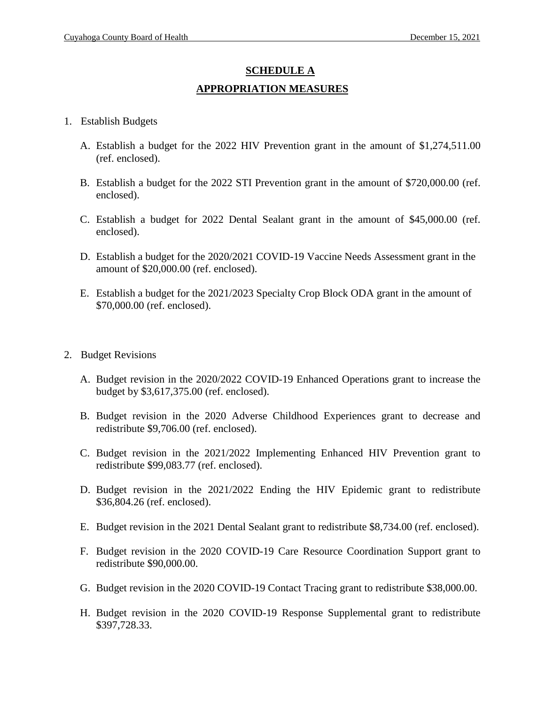# **SCHEDULE A APPROPRIATION MEASURES**

- 1. Establish Budgets
	- A. Establish a budget for the 2022 HIV Prevention grant in the amount of \$1,274,511.00 (ref. enclosed).
	- B. Establish a budget for the 2022 STI Prevention grant in the amount of \$720,000.00 (ref. enclosed).
	- C. Establish a budget for 2022 Dental Sealant grant in the amount of \$45,000.00 (ref. enclosed).
	- D. Establish a budget for the 2020/2021 COVID-19 Vaccine Needs Assessment grant in the amount of \$20,000.00 (ref. enclosed).
	- E. Establish a budget for the 2021/2023 Specialty Crop Block ODA grant in the amount of \$70,000.00 (ref. enclosed).
- 2. Budget Revisions
	- A. Budget revision in the 2020/2022 COVID-19 Enhanced Operations grant to increase the budget by \$3,617,375.00 (ref. enclosed).
	- B. Budget revision in the 2020 Adverse Childhood Experiences grant to decrease and redistribute \$9,706.00 (ref. enclosed).
	- C. Budget revision in the 2021/2022 Implementing Enhanced HIV Prevention grant to redistribute \$99,083.77 (ref. enclosed).
	- D. Budget revision in the 2021/2022 Ending the HIV Epidemic grant to redistribute \$36,804.26 (ref. enclosed).
	- E. Budget revision in the 2021 Dental Sealant grant to redistribute \$8,734.00 (ref. enclosed).
	- F. Budget revision in the 2020 COVID-19 Care Resource Coordination Support grant to redistribute \$90,000.00.
	- G. Budget revision in the 2020 COVID-19 Contact Tracing grant to redistribute \$38,000.00.
	- H. Budget revision in the 2020 COVID-19 Response Supplemental grant to redistribute \$397,728.33.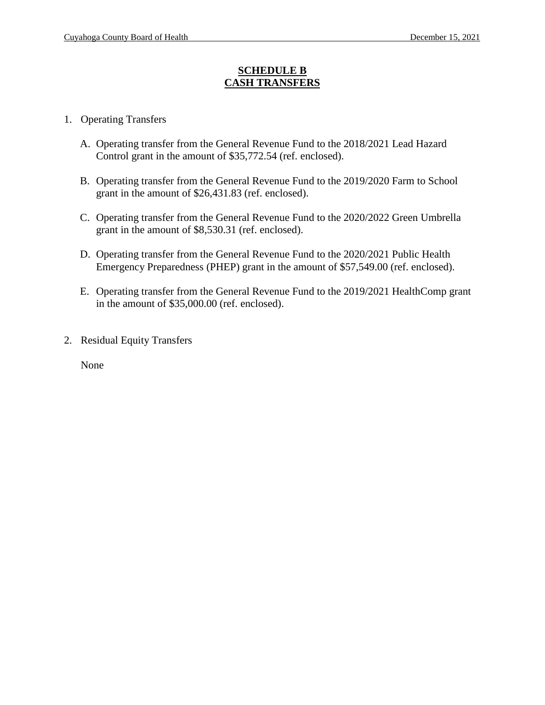#### **SCHEDULE B CASH TRANSFERS**

- 1. Operating Transfers
	- A. Operating transfer from the General Revenue Fund to the 2018/2021 Lead Hazard Control grant in the amount of \$35,772.54 (ref. enclosed).
	- B. Operating transfer from the General Revenue Fund to the 2019/2020 Farm to School grant in the amount of \$26,431.83 (ref. enclosed).
	- C. Operating transfer from the General Revenue Fund to the 2020/2022 Green Umbrella grant in the amount of \$8,530.31 (ref. enclosed).
	- D. Operating transfer from the General Revenue Fund to the 2020/2021 Public Health Emergency Preparedness (PHEP) grant in the amount of \$57,549.00 (ref. enclosed).
	- E. Operating transfer from the General Revenue Fund to the 2019/2021 HealthComp grant in the amount of \$35,000.00 (ref. enclosed).
- 2. Residual Equity Transfers

None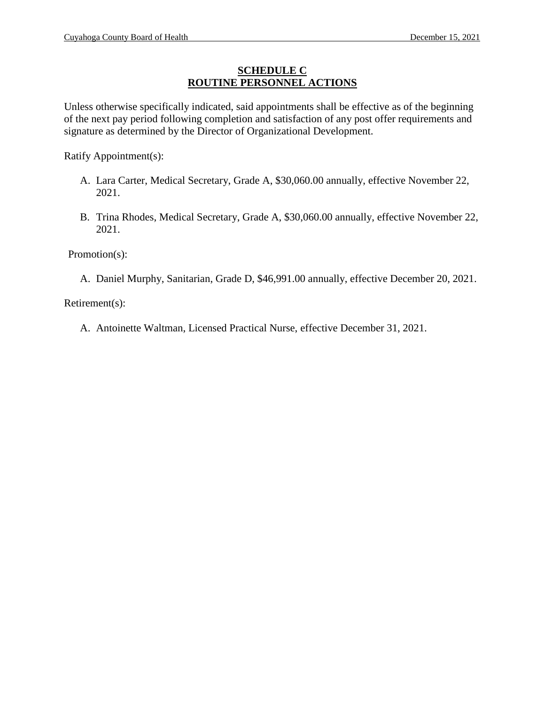### **SCHEDULE C ROUTINE PERSONNEL ACTIONS**

Unless otherwise specifically indicated, said appointments shall be effective as of the beginning of the next pay period following completion and satisfaction of any post offer requirements and signature as determined by the Director of Organizational Development.

Ratify Appointment(s):

- A. Lara Carter, Medical Secretary, Grade A, \$30,060.00 annually, effective November 22, 2021.
- B. Trina Rhodes, Medical Secretary, Grade A, \$30,060.00 annually, effective November 22, 2021.

Promotion(s):

A. Daniel Murphy, Sanitarian, Grade D, \$46,991.00 annually, effective December 20, 2021.

Retirement(s):

A. Antoinette Waltman, Licensed Practical Nurse, effective December 31, 2021.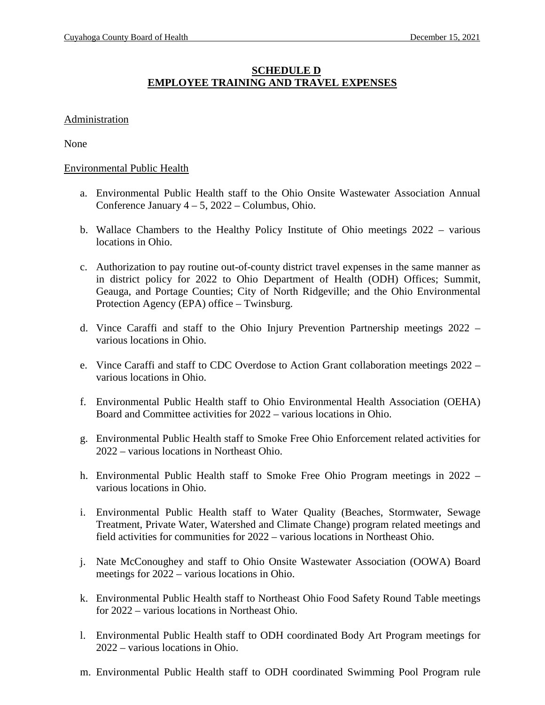### **SCHEDULE D EMPLOYEE TRAINING AND TRAVEL EXPENSES**

#### **Administration**

None

#### Environmental Public Health

- a. Environmental Public Health staff to the Ohio Onsite Wastewater Association Annual Conference January 4 – 5, 2022 – Columbus, Ohio.
- b. Wallace Chambers to the Healthy Policy Institute of Ohio meetings 2022 various locations in Ohio.
- c. Authorization to pay routine out-of-county district travel expenses in the same manner as in district policy for 2022 to Ohio Department of Health (ODH) Offices; Summit, Geauga, and Portage Counties; City of North Ridgeville; and the Ohio Environmental Protection Agency (EPA) office – Twinsburg.
- d. Vince Caraffi and staff to the Ohio Injury Prevention Partnership meetings 2022 various locations in Ohio.
- e. Vince Caraffi and staff to CDC Overdose to Action Grant collaboration meetings 2022 various locations in Ohio.
- f. Environmental Public Health staff to Ohio Environmental Health Association (OEHA) Board and Committee activities for 2022 – various locations in Ohio.
- g. Environmental Public Health staff to Smoke Free Ohio Enforcement related activities for 2022 – various locations in Northeast Ohio.
- h. Environmental Public Health staff to Smoke Free Ohio Program meetings in 2022 various locations in Ohio.
- i. Environmental Public Health staff to Water Quality (Beaches, Stormwater, Sewage Treatment, Private Water, Watershed and Climate Change) program related meetings and field activities for communities for 2022 – various locations in Northeast Ohio.
- j. Nate McConoughey and staff to Ohio Onsite Wastewater Association (OOWA) Board meetings for 2022 – various locations in Ohio.
- k. Environmental Public Health staff to Northeast Ohio Food Safety Round Table meetings for 2022 – various locations in Northeast Ohio.
- l. Environmental Public Health staff to ODH coordinated Body Art Program meetings for 2022 – various locations in Ohio.
- m. Environmental Public Health staff to ODH coordinated Swimming Pool Program rule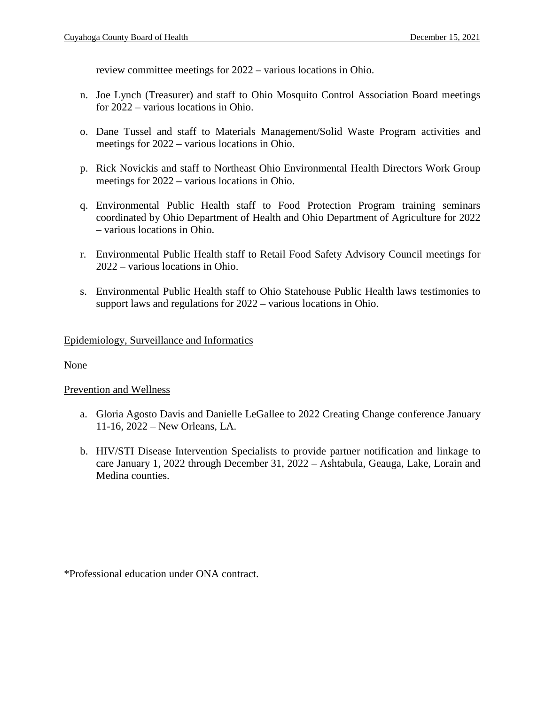review committee meetings for 2022 – various locations in Ohio.

- n. Joe Lynch (Treasurer) and staff to Ohio Mosquito Control Association Board meetings for 2022 – various locations in Ohio.
- o. Dane Tussel and staff to Materials Management/Solid Waste Program activities and meetings for 2022 – various locations in Ohio.
- p. Rick Novickis and staff to Northeast Ohio Environmental Health Directors Work Group meetings for 2022 – various locations in Ohio.
- q. Environmental Public Health staff to Food Protection Program training seminars coordinated by Ohio Department of Health and Ohio Department of Agriculture for 2022 – various locations in Ohio.
- r. Environmental Public Health staff to Retail Food Safety Advisory Council meetings for 2022 – various locations in Ohio.
- s. Environmental Public Health staff to Ohio Statehouse Public Health laws testimonies to support laws and regulations for 2022 – various locations in Ohio.

#### Epidemiology, Surveillance and Informatics

None

#### Prevention and Wellness

- a. Gloria Agosto Davis and Danielle LeGallee to 2022 Creating Change conference January 11-16, 2022 – New Orleans, LA.
- b. HIV/STI Disease Intervention Specialists to provide partner notification and linkage to care January 1, 2022 through December 31, 2022 – Ashtabula, Geauga, Lake, Lorain and Medina counties.

\*Professional education under ONA contract.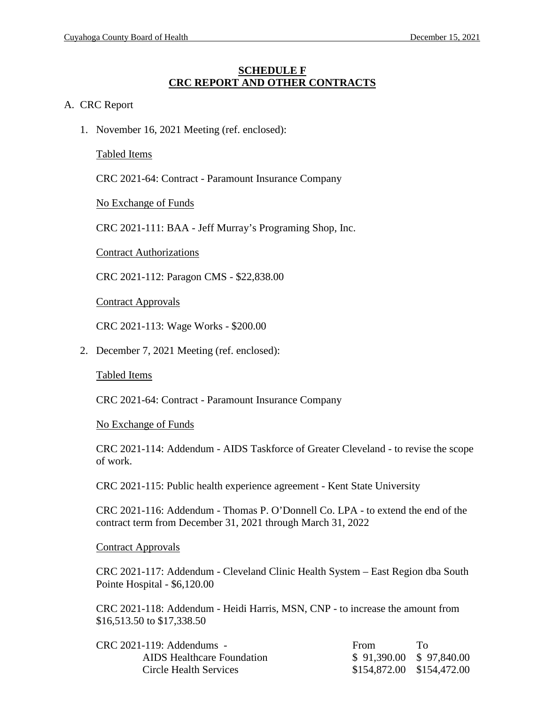#### **SCHEDULE F CRC REPORT AND OTHER CONTRACTS**

#### A. CRC Report

1. November 16, 2021 Meeting (ref. enclosed):

Tabled Items

CRC 2021-64: Contract - Paramount Insurance Company

No Exchange of Funds

CRC 2021-111: BAA - Jeff Murray's Programing Shop, Inc.

Contract Authorizations

CRC 2021-112: Paragon CMS - \$22,838.00

Contract Approvals

CRC 2021-113: Wage Works - \$200.00

2. December 7, 2021 Meeting (ref. enclosed):

#### Tabled Items

CRC 2021-64: Contract - Paramount Insurance Company

No Exchange of Funds

CRC 2021-114: Addendum - AIDS Taskforce of Greater Cleveland - to revise the scope of work.

CRC 2021-115: Public health experience agreement - Kent State University

CRC 2021-116: Addendum - Thomas P. O'Donnell Co. LPA - to extend the end of the contract term from December 31, 2021 through March 31, 2022

#### Contract Approvals

CRC 2021-117: Addendum - Cleveland Clinic Health System – East Region dba South Pointe Hospital - \$6,120.00

CRC 2021-118: Addendum - Heidi Harris, MSN, CNP - to increase the amount from \$16,513.50 to \$17,338.50

| $CRC 2021-119$ : Addendums - | From                      | ′Γ`∩ |
|------------------------------|---------------------------|------|
| AIDS Healthcare Foundation   | $$91,390.00 \$97,840.00$  |      |
| Circle Health Services       | \$154,872.00 \$154,472.00 |      |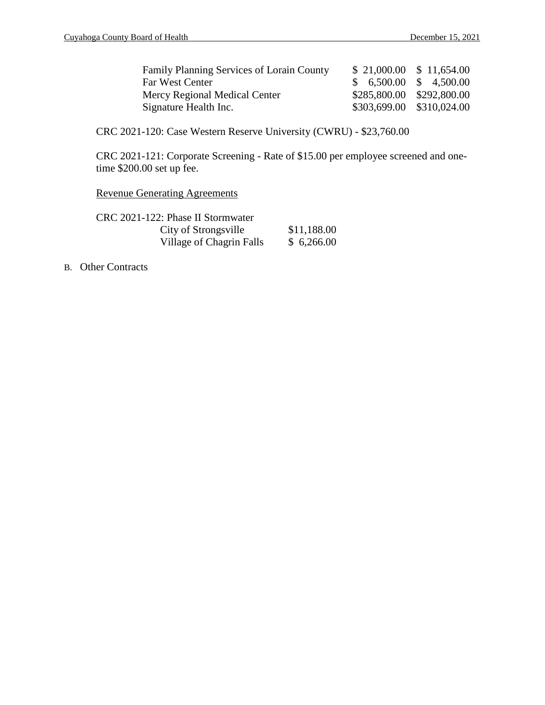| <b>Family Planning Services of Lorain County</b> | $$21,000.00 \$11,654.00$ |                           |
|--------------------------------------------------|--------------------------|---------------------------|
| Far West Center                                  | $$6,500.00 \ $4,500.00$  |                           |
| Mercy Regional Medical Center                    |                          | \$285,800.00 \$292,800.00 |
| Signature Health Inc.                            |                          | \$303,699.00 \$310,024.00 |

CRC 2021-120: Case Western Reserve University (CWRU) - \$23,760.00

CRC 2021-121: Corporate Screening - Rate of \$15.00 per employee screened and onetime \$200.00 set up fee.

Revenue Generating Agreements

| CRC 2021-122: Phase II Stormwater |             |
|-----------------------------------|-------------|
| City of Strongsville              | \$11,188.00 |
| Village of Chagrin Falls          | \$6,266.00  |

B. Other Contracts